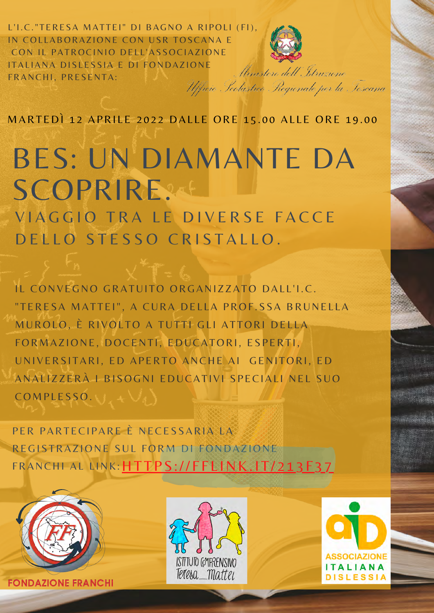L'I.C."TERESA MATTEI" DI BAGNO A RIPOLI (FI), IN COLLABORAZIONE CON USR TOSCANA E CON IL PATROCINIO DELL'ASSOCIAZIONE ITALIANA DISLESSIA E DI FONDAZIONE Ministero dell'Itruzione FRANCHI, PRESENTA: Ufficio Scolastico Regionale per la Tescana



MARTEDÌ 12 APRILE 2022 DALLE ORE 15.00 ALLE ORE 19.00

## BES: UN DIAMANTE DA SCOPRIRE.

VIAGGIO TRA LE DIVERSE FACCE D E L L O STESSO CRISTALLO.

IL CONVEGNO GRATUITO ORGANIZZATO DALL'I.C. "TERESA MATTEI", A CURA DELLA PROF.SSA BRUNELLA MUROLO, È RIVOLTO A TUTTI GLI ATTORI DELLA FORMAZIONE, DOCENTI, EDUCATORI, ESPERTI, UNIVERSITARI, ED APERTO ANCHE AI GENITORI, ED ANALIZZERÀ I BISOGNI EDUCATIVI SPECIALI NEL SUO  $COMPESSO.$ 

PER PARTECIPARE È NECESSARIA LA REGISTRAZIONE SUL FORM DI FONDAZIONE FRANCHI AL LINK: HTTPS://FFLINK.IT/213F37



**FONDAZIONE FRANCHI**